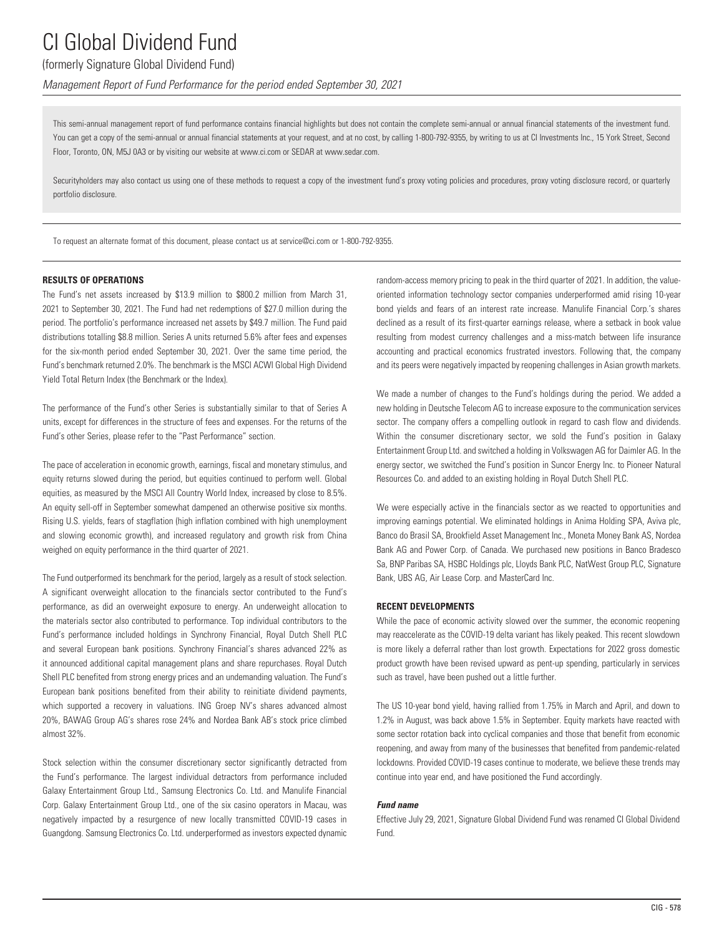## (formerly Signature Global Dividend Fund)

*Management Report of Fund Performance for the period ended September 30, 2021*

This semi-annual management report of fund performance contains financial highlights but does not contain the complete semi-annual or annual financial statements of the investment fund. You can get a copy of the semi-annual or annual financial statements at your request, and at no cost, by calling 1-800-792-9355, by writing to us at CI Investments Inc., 15 York Street, Second Floor, Toronto, ON, M5J 0A3 or by visiting our website at www.ci.com or SEDAR at www.sedar.com.

Securityholders may also contact us using one of these methods to request a copy of the investment fund's proxy voting policies and procedures, proxy voting disclosure record, or quarterly portfolio disclosure.

To request an alternate format of this document, please contact us at service@ci.com or 1-800-792-9355.

### **RESULTS OF OPERATIONS**

The Fund's net assets increased by \$13.9 million to \$800.2 million from March 31, 2021 to September 30, 2021. The Fund had net redemptions of \$27.0 million during the period. The portfolio's performance increased net assets by \$49.7 million. The Fund paid distributions totalling \$8.8 million. Series A units returned 5.6% after fees and expenses for the six-month period ended September 30, 2021. Over the same time period, the Fund's benchmark returned 2.0%. The benchmark is the MSCI ACWI Global High Dividend Yield Total Return Index (the Benchmark or the Index).

The performance of the Fund's other Series is substantially similar to that of Series A units, except for differences in the structure of fees and expenses. For the returns of the Fund's other Series, please refer to the "Past Performance" section.

The pace of acceleration in economic growth, earnings, fiscal and monetary stimulus, and equity returns slowed during the period, but equities continued to perform well. Global equities, as measured by the MSCI All Country World Index, increased by close to 8.5%. An equity sell-off in September somewhat dampened an otherwise positive six months. Rising U.S. yields, fears of stagflation (high inflation combined with high unemployment and slowing economic growth), and increased regulatory and growth risk from China weighed on equity performance in the third quarter of 2021.

The Fund outperformed its benchmark for the period, largely as a result of stock selection. A significant overweight allocation to the financials sector contributed to the Fund's performance, as did an overweight exposure to energy. An underweight allocation to the materials sector also contributed to performance. Top individual contributors to the Fund's performance included holdings in Synchrony Financial, Royal Dutch Shell PLC and several European bank positions. Synchrony Financial's shares advanced 22% as it announced additional capital management plans and share repurchases. Royal Dutch Shell PLC benefited from strong energy prices and an undemanding valuation. The Fund's European bank positions benefited from their ability to reinitiate dividend payments, which supported a recovery in valuations. ING Groep NV's shares advanced almost 20%, BAWAG Group AG's shares rose 24% and Nordea Bank AB's stock price climbed almost 32%.

Stock selection within the consumer discretionary sector significantly detracted from the Fund's performance. The largest individual detractors from performance included Galaxy Entertainment Group Ltd., Samsung Electronics Co. Ltd. and Manulife Financial Corp. Galaxy Entertainment Group Ltd., one of the six casino operators in Macau, was negatively impacted by a resurgence of new locally transmitted COVID-19 cases in Guangdong. Samsung Electronics Co. Ltd. underperformed as investors expected dynamic random-access memory pricing to peak in the third quarter of 2021. In addition, the valueoriented information technology sector companies underperformed amid rising 10-year bond yields and fears of an interest rate increase. Manulife Financial Corp.'s shares declined as a result of its first-quarter earnings release, where a setback in book value resulting from modest currency challenges and a miss-match between life insurance accounting and practical economics frustrated investors. Following that, the company and its peers were negatively impacted by reopening challenges in Asian growth markets.

We made a number of changes to the Fund's holdings during the period. We added a new holding in Deutsche Telecom AG to increase exposure to the communication services sector. The company offers a compelling outlook in regard to cash flow and dividends. Within the consumer discretionary sector, we sold the Fund's position in Galaxy Entertainment Group Ltd. and switched a holding in Volkswagen AG for Daimler AG. In the energy sector, we switched the Fund's position in Suncor Energy Inc. to Pioneer Natural Resources Co. and added to an existing holding in Royal Dutch Shell PLC.

We were especially active in the financials sector as we reacted to opportunities and improving earnings potential. We eliminated holdings in Anima Holding SPA, Aviva plc, Banco do Brasil SA, Brookfield Asset Management Inc., Moneta Money Bank AS, Nordea Bank AG and Power Corp. of Canada. We purchased new positions in Banco Bradesco Sa, BNP Paribas SA, HSBC Holdings plc, Lloyds Bank PLC, NatWest Group PLC, Signature Bank, UBS AG, Air Lease Corp. and MasterCard Inc.

### **RECENT DEVELOPMENTS**

While the pace of economic activity slowed over the summer, the economic reopening may reaccelerate as the COVID-19 delta variant has likely peaked. This recent slowdown is more likely a deferral rather than lost growth. Expectations for 2022 gross domestic product growth have been revised upward as pent-up spending, particularly in services such as travel, have been pushed out a little further.

The US 10-year bond yield, having rallied from 1.75% in March and April, and down to 1.2% in August, was back above 1.5% in September. Equity markets have reacted with some sector rotation back into cyclical companies and those that benefit from economic reopening, and away from many of the businesses that benefited from pandemic-related lockdowns. Provided COVID-19 cases continue to moderate, we believe these trends may continue into year end, and have positioned the Fund accordingly.

### *Fund name*

Effective July 29, 2021, Signature Global Dividend Fund was renamed CI Global Dividend Fund.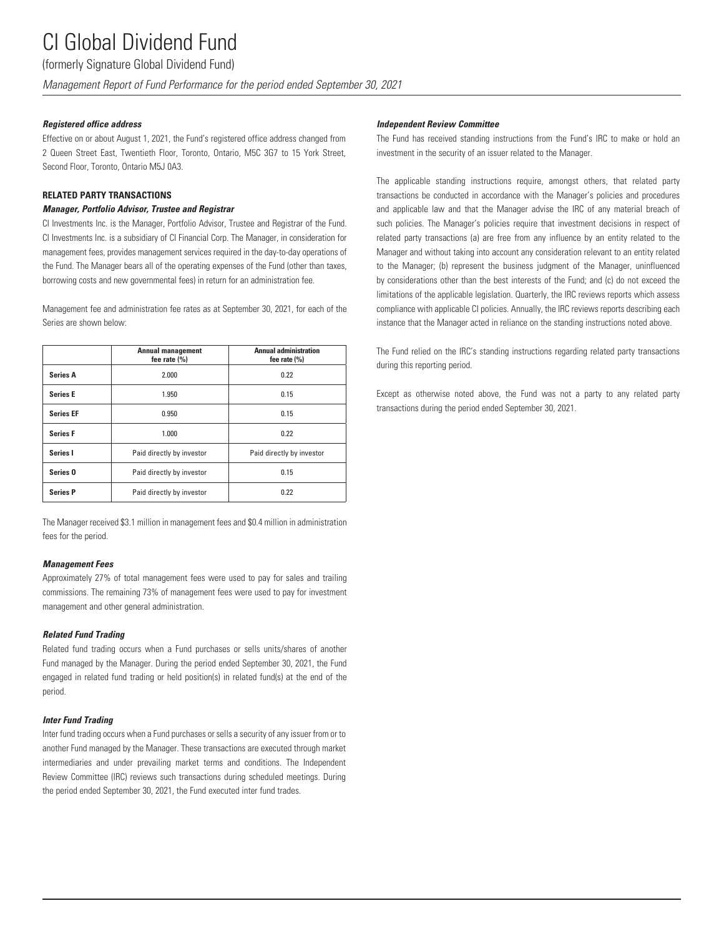(formerly Signature Global Dividend Fund)

*Management Report of Fund Performance for the period ended September 30, 2021*

### *Registered office address*

Effective on or about August 1, 2021, the Fund's registered office address changed from 2 Queen Street East, Twentieth Floor, Toronto, Ontario, M5C 3G7 to 15 York Street, Second Floor, Toronto, Ontario M5J 0A3.

### **RELATED PARTY TRANSACTIONS**

### *Manager, Portfolio Advisor, Trustee and Registrar*

CI Investments Inc. is the Manager, Portfolio Advisor, Trustee and Registrar of the Fund. CI Investments Inc. is a subsidiary of CI Financial Corp. The Manager, in consideration for management fees, provides management services required in the day-to-day operations of the Fund. The Manager bears all of the operating expenses of the Fund (other than taxes, borrowing costs and new governmental fees) in return for an administration fee.

Management fee and administration fee rates as at September 30, 2021, for each of the Series are shown below:

|                     | <b>Annual management</b><br>fee rate $(\% )$ | <b>Annual administration</b><br>fee rate $(\% )$ |
|---------------------|----------------------------------------------|--------------------------------------------------|
| <b>Series A</b>     | 2.000                                        | 0.22                                             |
| <b>Series E</b>     | 1.950                                        | 0.15                                             |
| <b>Series EF</b>    | 0.950                                        | 0.15                                             |
| <b>Series F</b>     | 1.000                                        | 0.22                                             |
| Series I            | Paid directly by investor                    | Paid directly by investor                        |
| Series <sub>0</sub> | Paid directly by investor                    | 0.15                                             |
| <b>Series P</b>     | Paid directly by investor                    | 0.22                                             |

The Manager received \$3.1 million in management fees and \$0.4 million in administration fees for the period.

### *Management Fees*

Approximately 27% of total management fees were used to pay for sales and trailing commissions. The remaining 73% of management fees were used to pay for investment management and other general administration.

### *Related Fund Trading*

Related fund trading occurs when a Fund purchases or sells units/shares of another Fund managed by the Manager. During the period ended September 30, 2021, the Fund engaged in related fund trading or held position(s) in related fund(s) at the end of the period.

### *Inter Fund Trading*

Inter fund trading occurs when a Fund purchases or sells a security of any issuer from or to another Fund managed by the Manager. These transactions are executed through market intermediaries and under prevailing market terms and conditions. The Independent Review Committee (IRC) reviews such transactions during scheduled meetings. During the period ended September 30, 2021, the Fund executed inter fund trades.

### *Independent Review Committee*

The Fund has received standing instructions from the Fund's IRC to make or hold an investment in the security of an issuer related to the Manager.

The applicable standing instructions require, amongst others, that related party transactions be conducted in accordance with the Manager's policies and procedures and applicable law and that the Manager advise the IRC of any material breach of such policies. The Manager's policies require that investment decisions in respect of related party transactions (a) are free from any influence by an entity related to the Manager and without taking into account any consideration relevant to an entity related to the Manager; (b) represent the business judgment of the Manager, uninfluenced by considerations other than the best interests of the Fund; and (c) do not exceed the limitations of the applicable legislation. Quarterly, the IRC reviews reports which assess compliance with applicable CI policies. Annually, the IRC reviews reports describing each instance that the Manager acted in reliance on the standing instructions noted above.

The Fund relied on the IRC's standing instructions regarding related party transactions during this reporting period.

Except as otherwise noted above, the Fund was not a party to any related party transactions during the period ended September 30, 2021.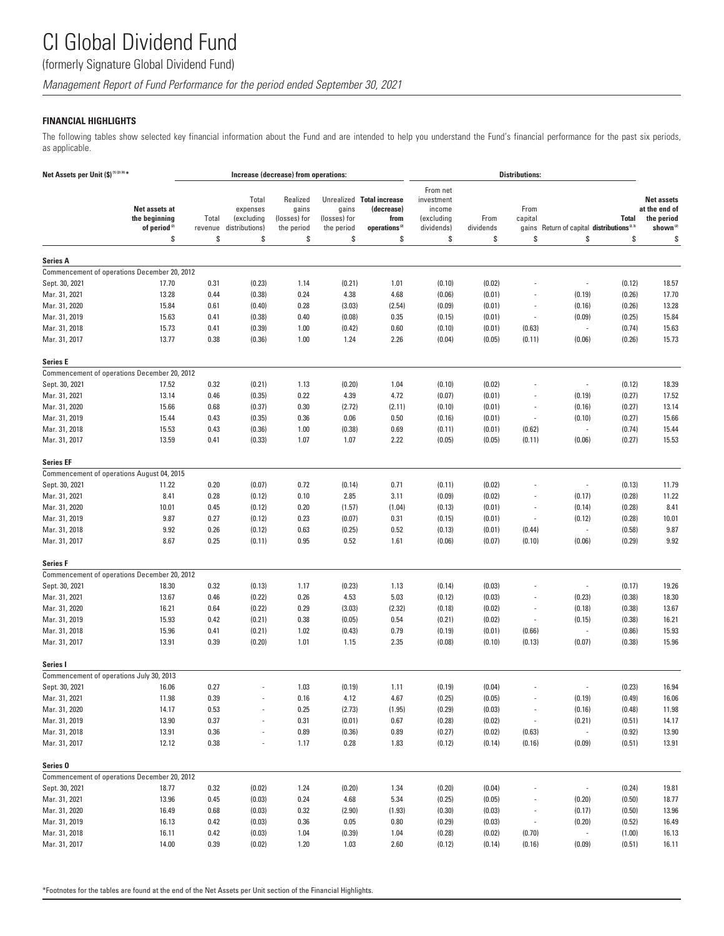(formerly Signature Global Dividend Fund)

*Management Report of Fund Performance for the period ended September 30, 2021*

### **FINANCIAL HIGHLIGHTS**

The following tables show selected key financial information about the Fund and are intended to help you understand the Fund's financial performance for the past six periods, as applicable.

| Net Assets per Unit (\$) <sup>(1)(2)(4)*</sup><br>Net assets at<br>the beginning<br>of period <sup>(2)</sup> |                                              | Increase (decrease) from operations: |                                                         |                                                       |                                           |                                                                                    | <b>Distributions:</b>                                              |                         |                                |                                                 |                    |                                                                                |
|--------------------------------------------------------------------------------------------------------------|----------------------------------------------|--------------------------------------|---------------------------------------------------------|-------------------------------------------------------|-------------------------------------------|------------------------------------------------------------------------------------|--------------------------------------------------------------------|-------------------------|--------------------------------|-------------------------------------------------|--------------------|--------------------------------------------------------------------------------|
|                                                                                                              |                                              | Total<br>revenue<br>\$               | Total<br>expenses<br>(excluding<br>distributions)<br>\$ | Realized<br>gains<br>(losses) for<br>the period<br>\$ | gains<br>(losses) for<br>the period<br>\$ | Unrealized Total increase<br>(decrease)<br>from<br>operations <sup>(2)</sup><br>\$ | From net<br>investment<br>income<br>(excluding<br>dividends)<br>\$ | From<br>dividends<br>\$ | From<br>capital<br>gains<br>\$ | Return of capital distributions <sup>2,39</sup> | <b>Total</b><br>\$ | <b>Net assets</b><br>at the end of<br>the period<br>shown <sup>(2)</sup><br>\$ |
|                                                                                                              | \$                                           |                                      |                                                         |                                                       |                                           |                                                                                    |                                                                    |                         |                                | \$                                              |                    |                                                                                |
| <b>Series A</b>                                                                                              |                                              |                                      |                                                         |                                                       |                                           |                                                                                    |                                                                    |                         |                                |                                                 |                    |                                                                                |
|                                                                                                              | Commencement of operations December 20, 2012 |                                      |                                                         |                                                       |                                           |                                                                                    |                                                                    |                         |                                |                                                 |                    |                                                                                |
| Sept. 30, 2021                                                                                               | 17.70                                        | 0.31                                 | (0.23)                                                  | 1.14                                                  | (0.21)                                    | 1.01                                                                               | (0.10)                                                             | (0.02)                  |                                | $\overline{a}$                                  | (0.12)             | 18.57                                                                          |
| Mar. 31, 2021                                                                                                | 13.28                                        | 0.44                                 | (0.38)                                                  | 0.24                                                  | 4.38                                      | 4.68                                                                               | (0.06)                                                             | (0.01)                  | L,                             | (0.19)                                          | (0.26)             | 17.70                                                                          |
| Mar. 31, 2020                                                                                                | 15.84                                        | 0.61                                 | (0.40)                                                  | 0.28                                                  | (3.03)                                    | (2.54)                                                                             | (0.09)                                                             | (0.01)                  | $\overline{a}$                 | (0.16)                                          | (0.26)             | 13.28                                                                          |
| Mar. 31, 2019                                                                                                | 15.63                                        | 0.41                                 | (0.38)                                                  | 0.40                                                  | (0.08)                                    | 0.35                                                                               | (0.15)                                                             | (0.01)                  | $\overline{\phantom{a}}$       | (0.09)                                          | (0.25)             | 15.84                                                                          |
| Mar. 31, 2018                                                                                                | 15.73                                        | 0.41                                 | (0.39)                                                  | 1.00                                                  | (0.42)                                    | 0.60                                                                               | (0.10)                                                             | (0.01)                  | (0.63)                         | $\frac{1}{2}$                                   | (0.74)             | 15.63                                                                          |
| Mar. 31, 2017                                                                                                | 13.77                                        | 0.38                                 | (0.36)                                                  | 1.00                                                  | 1.24                                      | 2.26                                                                               | (0.04)                                                             | (0.05)                  | (0.11)                         | (0.06)                                          | (0.26)             | 15.73                                                                          |
| Series E                                                                                                     |                                              |                                      |                                                         |                                                       |                                           |                                                                                    |                                                                    |                         |                                |                                                 |                    |                                                                                |
|                                                                                                              | Commencement of operations December 20, 2012 |                                      |                                                         |                                                       |                                           |                                                                                    |                                                                    |                         |                                |                                                 |                    |                                                                                |
| Sept. 30, 2021                                                                                               | 17.52                                        | 0.32                                 | (0.21)                                                  | 1.13                                                  | (0.20)                                    | 1.04                                                                               | (0.10)                                                             | (0.02)                  |                                |                                                 | (0.12)             | 18.39                                                                          |
| Mar. 31, 2021                                                                                                | 13.14                                        | 0.46                                 | (0.35)                                                  | 0.22                                                  | 4.39                                      | 4.72                                                                               | (0.07)                                                             | (0.01)                  |                                | (0.19)                                          | (0.27)             | 17.52                                                                          |
| Mar. 31, 2020                                                                                                | 15.66                                        | 0.68                                 | (0.37)                                                  | 0.30                                                  | (2.72)                                    | (2.11)                                                                             | (0.10)                                                             | (0.01)                  | $\overline{a}$                 | (0.16)                                          | (0.27)             | 13.14                                                                          |
| Mar. 31, 2019                                                                                                | 15.44                                        | 0.43                                 | (0.35)                                                  | 0.36                                                  | 0.06                                      | 0.50                                                                               | (0.16)                                                             | (0.01)                  | $\overline{\phantom{a}}$       | (0.10)                                          | (0.27)             | 15.66                                                                          |
| Mar. 31, 2018                                                                                                | 15.53                                        | 0.43                                 | (0.36)                                                  | 1.00                                                  | (0.38)                                    | 0.69                                                                               | (0.11)                                                             | (0.01)                  | (0.62)                         | $\overline{\phantom{a}}$                        | (0.74)             | 15.44                                                                          |
| Mar. 31, 2017                                                                                                | 13.59                                        | 0.41                                 | (0.33)                                                  | 1.07                                                  | 1.07                                      | 2.22                                                                               | (0.05)                                                             | (0.05)                  | (0.11)                         | (0.06)                                          | (0.27)             | 15.53                                                                          |
| <b>Series EF</b>                                                                                             |                                              |                                      |                                                         |                                                       |                                           |                                                                                    |                                                                    |                         |                                |                                                 |                    |                                                                                |
|                                                                                                              | Commencement of operations August 04, 2015   |                                      |                                                         |                                                       |                                           |                                                                                    |                                                                    |                         |                                |                                                 |                    |                                                                                |
| Sept. 30, 2021                                                                                               | 11.22                                        | 0.20                                 | (0.07)                                                  | 0.72                                                  | (0.14)                                    | 0.71                                                                               | (0.11)                                                             | (0.02)                  |                                |                                                 | (0.13)             | 11.79                                                                          |
| Mar. 31, 2021                                                                                                | 8.41                                         | 0.28                                 | (0.12)                                                  | 0.10                                                  | 2.85                                      | 3.11                                                                               | (0.09)                                                             | (0.02)                  | $\overline{a}$                 | (0.17)                                          | (0.28)             | 11.22                                                                          |
| Mar. 31, 2020                                                                                                | 10.01                                        | 0.45                                 | (0.12)                                                  | 0.20                                                  | (1.57)                                    | (1.04)                                                                             | (0.13)                                                             | (0.01)                  | $\overline{a}$                 | (0.14)                                          | (0.28)             | 8.41                                                                           |
| Mar. 31, 2019                                                                                                | 9.87                                         | 0.27                                 | (0.12)                                                  | 0.23                                                  | (0.07)                                    | 0.31                                                                               | (0.15)                                                             | (0.01)                  | $\overline{\phantom{a}}$       | (0.12)                                          | (0.28)             | 10.01                                                                          |
| Mar. 31, 2018                                                                                                | 9.92                                         | 0.26                                 | (0.12)                                                  | 0.63                                                  | (0.25)                                    | 0.52                                                                               | (0.13)                                                             | (0.01)                  | (0.44)                         |                                                 | (0.58)             | 9.87                                                                           |
| Mar. 31, 2017                                                                                                | 8.67                                         | 0.25                                 | (0.11)                                                  | 0.95                                                  | 0.52                                      | 1.61                                                                               | (0.06)                                                             | (0.07)                  | (0.10)                         | (0.06)                                          | (0.29)             | 9.92                                                                           |
| <b>Series F</b>                                                                                              |                                              |                                      |                                                         |                                                       |                                           |                                                                                    |                                                                    |                         |                                |                                                 |                    |                                                                                |
|                                                                                                              | Commencement of operations December 20, 2012 |                                      |                                                         |                                                       |                                           |                                                                                    |                                                                    |                         |                                |                                                 |                    |                                                                                |
| Sept. 30, 2021                                                                                               | 18.30                                        | 0.32                                 | (0.13)                                                  | 1.17                                                  | (0.23)                                    | 1.13                                                                               | (0.14)                                                             | (0.03)                  |                                |                                                 | (0.17)             | 19.26                                                                          |
| Mar. 31, 2021                                                                                                | 13.67                                        | 0.46                                 | (0.22)                                                  | 0.26                                                  | 4.53                                      | 5.03                                                                               | (0.12)                                                             | (0.03)                  |                                | (0.23)                                          | (0.38)             | 18.30                                                                          |
| Mar. 31, 2020                                                                                                | 16.21                                        | 0.64                                 | (0.22)                                                  | 0.29                                                  | (3.03)                                    | (2.32)                                                                             | (0.18)                                                             | (0.02)                  | $\overline{\phantom{a}}$       | (0.18)                                          | (0.38)             | 13.67                                                                          |
| Mar. 31, 2019                                                                                                | 15.93                                        | 0.42                                 | (0.21)                                                  | 0.38                                                  | (0.05)                                    | 0.54                                                                               | (0.21)                                                             | (0.02)                  |                                | (0.15)                                          | (0.38)             | 16.21                                                                          |
| Mar. 31, 2018                                                                                                | 15.96                                        | 0.41                                 | (0.21)                                                  | 1.02                                                  | (0.43)                                    | 0.79                                                                               | (0.19)                                                             | (0.01)                  | (0.66)                         | ÷,                                              | (0.86)             | 15.93                                                                          |
| Mar. 31, 2017                                                                                                | 13.91                                        | 0.39                                 | (0.20)                                                  | 1.01                                                  | 1.15                                      | 2.35                                                                               | (0.08)                                                             | (0.10)                  | (0.13)                         | (0.07)                                          | (0.38)             | 15.96                                                                          |
| Series I                                                                                                     |                                              |                                      |                                                         |                                                       |                                           |                                                                                    |                                                                    |                         |                                |                                                 |                    |                                                                                |
| Commencement of operations July 30, 2013                                                                     |                                              |                                      |                                                         |                                                       |                                           |                                                                                    |                                                                    |                         |                                |                                                 |                    |                                                                                |
| Sept. 30, 2021                                                                                               | 16.06                                        | 0.27                                 |                                                         | 1.03                                                  | (0.19)                                    | 1.11                                                                               | (0.19)                                                             | (0.04)                  |                                |                                                 | (0.23)             | 16.94                                                                          |
| Mar. 31, 2021                                                                                                | 11.98                                        | 0.39                                 |                                                         | 0.16                                                  | 4.12                                      | 4.67                                                                               | (0.25)                                                             | (0.05)                  |                                | (0.19)                                          | (0.49)             | 16.06                                                                          |
| Mar. 31, 2020                                                                                                | 14.17                                        | 0.53                                 | $\overline{\phantom{a}}$                                | 0.25                                                  | (2.73)                                    | (1.95)                                                                             | (0.29)                                                             | (0.03)                  | $\overline{\phantom{a}}$       | (0.16)                                          | (0.48)             | 11.98                                                                          |
| Mar. 31, 2019                                                                                                | 13.90                                        | 0.37                                 |                                                         | 0.31                                                  | (0.01)                                    | 0.67                                                                               | (0.28)                                                             | (0.02)                  |                                | (0.21)                                          | (0.51)             | 14.17                                                                          |
| Mar. 31, 2018                                                                                                | 13.91                                        | 0.36                                 |                                                         | 0.89                                                  | (0.36)                                    | 0.89                                                                               | (0.27)                                                             | (0.02)                  | (0.63)                         | $\overline{\phantom{a}}$                        | (0.92)             | 13.90                                                                          |
| Mar. 31, 2017                                                                                                | 12.12                                        | 0.38                                 | $\overline{\phantom{a}}$                                | 1.17                                                  | 0.28                                      | 1.83                                                                               | (0.12)                                                             | (0.14)                  | (0.16)                         | (0.09)                                          | (0.51)             | 13.91                                                                          |
| Series <sub>0</sub>                                                                                          |                                              |                                      |                                                         |                                                       |                                           |                                                                                    |                                                                    |                         |                                |                                                 |                    |                                                                                |
|                                                                                                              | Commencement of operations December 20, 2012 |                                      |                                                         |                                                       |                                           |                                                                                    |                                                                    |                         |                                |                                                 |                    |                                                                                |
| Sept. 30, 2021                                                                                               | 18.77                                        | 0.32                                 | (0.02)                                                  | 1.24                                                  | (0.20)                                    | 1.34                                                                               | (0.20)                                                             | (0.04)                  |                                |                                                 | (0.24)             | 19.81                                                                          |
| Mar. 31, 2021                                                                                                | 13.96                                        | 0.45                                 | (0.03)                                                  | 0.24                                                  | 4.68                                      | 5.34                                                                               | (0.25)                                                             | (0.05)                  |                                | (0.20)                                          | (0.50)             | 18.77                                                                          |
| Mar. 31, 2020                                                                                                | 16.49                                        | 0.68                                 | (0.03)                                                  | 0.32                                                  | (2.90)                                    | (1.93)                                                                             | (0.30)                                                             | (0.03)                  |                                | (0.17)                                          | (0.50)             | 13.96                                                                          |
| Mar. 31, 2019                                                                                                | 16.13                                        | 0.42                                 | (0.03)                                                  | 0.36                                                  | 0.05                                      | 0.80                                                                               | (0.29)                                                             | (0.03)                  | $\overline{\phantom{a}}$       | (0.20)                                          | (0.52)             | 16.49                                                                          |
| Mar. 31, 2018                                                                                                | 16.11                                        | 0.42                                 | (0.03)                                                  | 1.04                                                  | (0.39)                                    | 1.04                                                                               | (0.28)                                                             | (0.02)                  | (0.70)                         | $\overline{\phantom{a}}$                        | (1.00)             | 16.13                                                                          |
| Mar. 31, 2017                                                                                                | 14.00                                        | 0.39                                 | (0.02)                                                  | 1.20                                                  | 1.03                                      | 2.60                                                                               | (0.12)                                                             | (0.14)                  | (0.16)                         | (0.09)                                          | (0.51)             | 16.11                                                                          |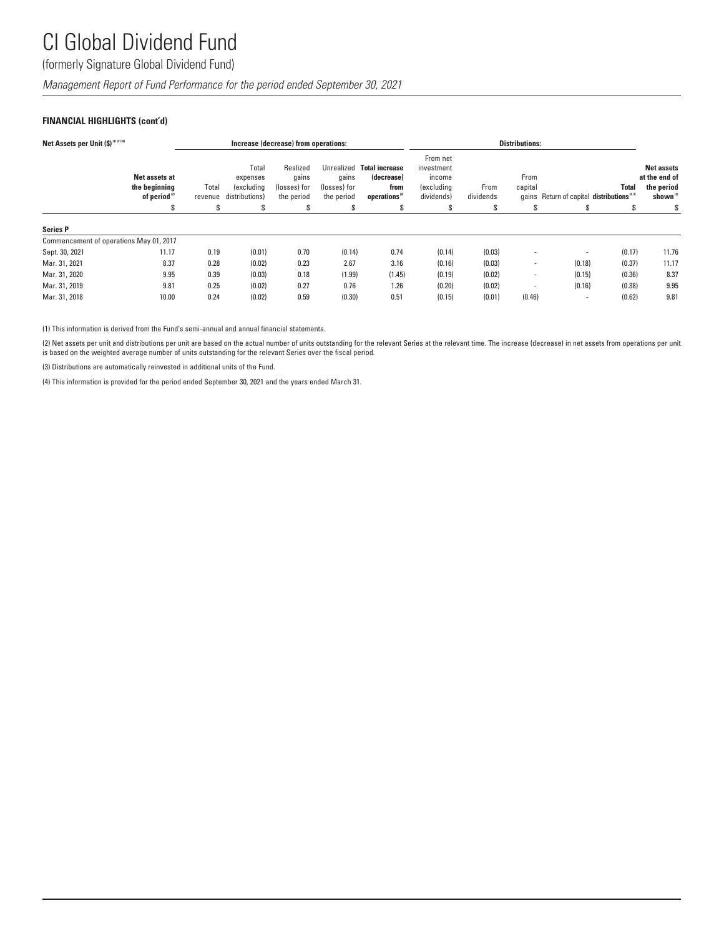(formerly Signature Global Dividend Fund)

*Management Report of Fund Performance for the period ended September 30, 2021*

### **FINANCIAL HIGHLIGHTS (cont'd)**

| Net Assets per Unit (\$) (1) (2) (4)    |                                                            |                  |                                                   | Increase (decrease) from operations:            |                                     |                                                                              | <b>Distributions:</b>                                               |                   |                 |                                                       |              |                                                                       |
|-----------------------------------------|------------------------------------------------------------|------------------|---------------------------------------------------|-------------------------------------------------|-------------------------------------|------------------------------------------------------------------------------|---------------------------------------------------------------------|-------------------|-----------------|-------------------------------------------------------|--------------|-----------------------------------------------------------------------|
|                                         | Net assets at<br>the beginning<br>of period <sup>(2)</sup> | Total<br>revenue | Total<br>expenses<br>(excluding<br>distributions) | Realized<br>qains<br>(losses) for<br>the period | qains<br>(losses) for<br>the period | Unrealized Total increase<br>(decrease)<br>from<br>operations <sup>(2)</sup> | From net<br>investment<br>income<br><i>(excluding</i><br>dividends) | From<br>dividends | From<br>capital | gains Return of capital distributions <sup>2,31</sup> | <b>Total</b> | <b>Net assets</b><br>at the end of<br>the period<br>shown $^{\alpha}$ |
|                                         | S                                                          | S                | S                                                 | \$                                              | s                                   | \$                                                                           | S                                                                   | ъ                 | S               | S                                                     | s            | S                                                                     |
| <b>Series P</b>                         |                                                            |                  |                                                   |                                                 |                                     |                                                                              |                                                                     |                   |                 |                                                       |              |                                                                       |
| Commencement of operations May 01, 2017 |                                                            |                  |                                                   |                                                 |                                     |                                                                              |                                                                     |                   |                 |                                                       |              |                                                                       |
| Sept. 30, 2021                          | 11.17                                                      | 0.19             | (0.01)                                            | 0.70                                            | (0.14)                              | 0.74                                                                         | (0.14)                                                              | (0.03)            |                 |                                                       | (0.17)       | 11.76                                                                 |
| Mar. 31, 2021                           | 8.37                                                       | 0.28             | (0.02)                                            | 0.23                                            | 2.67                                | 3.16                                                                         | (0.16)                                                              | (0.03)            |                 | (0.18)                                                | (0.37)       | 11.17                                                                 |
| Mar. 31, 2020                           | 9.95                                                       | 0.39             | (0.03)                                            | 0.18                                            | (1.99)                              | (1.45)                                                                       | (0.19)                                                              | (0.02)            |                 | (0.15)                                                | (0.36)       | 8.37                                                                  |
| Mar. 31, 2019                           | 9.81                                                       | 0.25             | (0.02)                                            | 0.27                                            | 0.76                                | 1.26                                                                         | (0.20)                                                              | (0.02)            |                 | (0.16)                                                | (0.38)       | 9.95                                                                  |
| Mar. 31, 2018                           | 10.00                                                      | 0.24             | (0.02)                                            | 0.59                                            | (0.30)                              | 0.51                                                                         | (0.15)                                                              | (0.01)            | (0.46)          | $\overline{\phantom{a}}$                              | (0.62)       | 9.81                                                                  |

(1) This information is derived from the Fund's semi-annual and annual financial statements.

(2) Net assets per unit and distributions per unit are based on the actual number of units outstanding for the relevant Series at the relevant time. The increase (decrease) in net assets from operations per unit is based on the weighted average number of units outstanding for the relevant Series over the fiscal period.

(3) Distributions are automatically reinvested in additional units of the Fund.

(4) This information is provided for the period ended September 30, 2021 and the years ended March 31.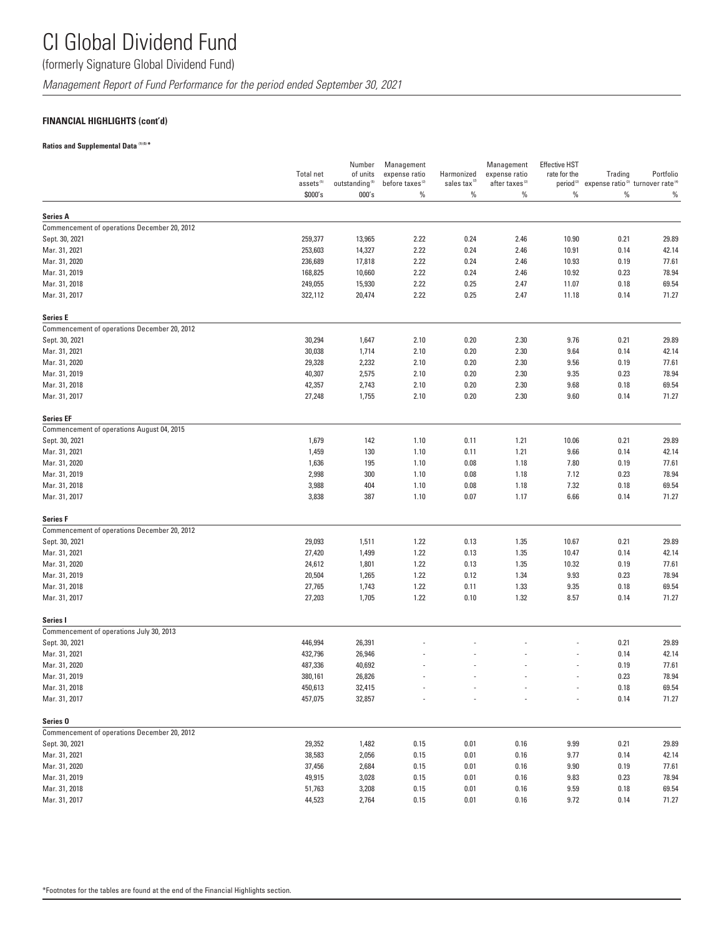### (formerly Signature Global Dividend Fund)

*Management Report of Fund Performance for the period ended September 30, 2021*

### **FINANCIAL HIGHLIGHTS (cont'd)**

### **Ratios and Supplemental Data (1) (5) \***

|                                                            | <b>Total net</b><br>assets <sup>(5)</sup> | Number<br>of units<br>outstanding $^{(5)}$ | Management<br>expense ratio<br>before taxes <sup>(2)</sup> | Harmonized<br>sales tax <sup>(2)</sup> | Management<br>expense ratio<br>after taxes <sup>(2)</sup> | <b>Effective HST</b><br>rate for the | Trading<br>period <sup>(2)</sup> expense ratio <sup>(3)</sup> turnover rate <sup>(4)</sup> | Portfolio      |
|------------------------------------------------------------|-------------------------------------------|--------------------------------------------|------------------------------------------------------------|----------------------------------------|-----------------------------------------------------------|--------------------------------------|--------------------------------------------------------------------------------------------|----------------|
|                                                            | \$000's                                   | 000's                                      | $\%$                                                       | $\%$                                   | $\%$                                                      | %                                    | $\%$                                                                                       | $\%$           |
| <b>Series A</b>                                            |                                           |                                            |                                                            |                                        |                                                           |                                      |                                                                                            |                |
| Commencement of operations December 20, 2012               |                                           |                                            |                                                            |                                        |                                                           |                                      |                                                                                            |                |
| Sept. 30, 2021                                             | 259,377                                   | 13,965                                     | 2.22                                                       | 0.24                                   | 2.46                                                      | 10.90                                | 0.21                                                                                       | 29.89          |
| Mar. 31, 2021                                              | 253,603                                   | 14,327                                     | 2.22                                                       | 0.24                                   | 2.46                                                      | 10.91                                | 0.14                                                                                       | 42.14          |
| Mar. 31, 2020                                              | 236,689                                   | 17,818                                     | 2.22                                                       | 0.24                                   | 2.46                                                      | 10.93                                | 0.19                                                                                       | 77.61          |
| Mar. 31, 2019                                              | 168,825                                   | 10,660                                     | 2.22                                                       | 0.24                                   | 2.46                                                      | 10.92                                | 0.23                                                                                       | 78.94          |
| Mar. 31, 2018                                              | 249,055                                   | 15,930                                     | 2.22                                                       | 0.25                                   | 2.47                                                      | 11.07                                | 0.18                                                                                       | 69.54          |
| Mar. 31, 2017                                              | 322,112                                   | 20,474                                     | 2.22                                                       | 0.25                                   | 2.47                                                      | 11.18                                | 0.14                                                                                       | 71.27          |
| <b>Series E</b>                                            |                                           |                                            |                                                            |                                        |                                                           |                                      |                                                                                            |                |
| Commencement of operations December 20, 2012               |                                           |                                            |                                                            |                                        |                                                           |                                      |                                                                                            |                |
| Sept. 30, 2021                                             | 30,294                                    | 1,647                                      | 2.10                                                       | 0.20                                   | 2.30                                                      | 9.76                                 | 0.21                                                                                       | 29.89          |
| Mar. 31, 2021                                              | 30,038                                    | 1,714                                      | 2.10                                                       | 0.20                                   | 2.30                                                      | 9.64                                 | 0.14                                                                                       | 42.14          |
| Mar. 31, 2020                                              | 29,328                                    | 2,232                                      | 2.10                                                       | 0.20                                   | 2.30                                                      | 9.56                                 | 0.19                                                                                       | 77.61          |
| Mar. 31, 2019                                              | 40,307                                    | 2,575                                      | 2.10                                                       | 0.20                                   | 2.30                                                      | 9.35                                 | 0.23                                                                                       | 78.94          |
| Mar. 31, 2018                                              | 42,357                                    | 2,743                                      | 2.10                                                       | 0.20                                   | 2.30                                                      | 9.68                                 | 0.18                                                                                       | 69.54          |
| Mar. 31, 2017                                              | 27,248                                    | 1,755                                      | 2.10                                                       | 0.20                                   | 2.30                                                      | 9.60                                 | 0.14                                                                                       | 71.27          |
| <b>Series EF</b>                                           |                                           |                                            |                                                            |                                        |                                                           |                                      |                                                                                            |                |
| Commencement of operations August 04, 2015                 |                                           |                                            |                                                            |                                        |                                                           |                                      |                                                                                            |                |
| Sept. 30, 2021                                             | 1,679                                     | 142                                        | 1.10                                                       | 0.11                                   | 1.21                                                      | 10.06                                | 0.21                                                                                       | 29.89          |
| Mar. 31, 2021                                              | 1,459                                     | 130                                        | 1.10                                                       | 0.11                                   | 1.21                                                      | 9.66                                 | 0.14                                                                                       | 42.14          |
| Mar. 31, 2020                                              | 1,636                                     | 195                                        | 1.10                                                       | 0.08                                   | 1.18                                                      | 7.80                                 | 0.19                                                                                       | 77.61          |
| Mar. 31, 2019                                              | 2,998                                     | 300                                        | 1.10                                                       | 0.08                                   | 1.18                                                      | 7.12                                 | 0.23                                                                                       | 78.94          |
| Mar. 31, 2018<br>Mar. 31, 2017                             | 3,988<br>3,838                            | 404<br>387                                 | 1.10<br>1.10                                               | 0.08<br>0.07                           | 1.18<br>1.17                                              | 7.32<br>6.66                         | 0.18<br>0.14                                                                               | 69.54<br>71.27 |
|                                                            |                                           |                                            |                                                            |                                        |                                                           |                                      |                                                                                            |                |
| <b>Series F</b>                                            |                                           |                                            |                                                            |                                        |                                                           |                                      |                                                                                            |                |
| Commencement of operations December 20, 2012               |                                           |                                            |                                                            |                                        |                                                           |                                      |                                                                                            |                |
| Sept. 30, 2021                                             | 29,093                                    | 1,511                                      | 1.22                                                       | 0.13                                   | 1.35                                                      | 10.67                                | 0.21                                                                                       | 29.89          |
| Mar. 31, 2021                                              | 27,420                                    | 1,499                                      | 1.22                                                       | 0.13                                   | 1.35                                                      | 10.47                                | 0.14                                                                                       | 42.14          |
| Mar. 31, 2020                                              | 24,612                                    | 1,801                                      | 1.22                                                       | 0.13                                   | 1.35                                                      | 10.32                                | 0.19                                                                                       | 77.61          |
| Mar. 31, 2019                                              | 20,504                                    | 1,265                                      | 1.22                                                       | 0.12                                   | 1.34                                                      | 9.93                                 | 0.23                                                                                       | 78.94          |
| Mar. 31, 2018                                              | 27,765                                    | 1,743                                      | 1.22                                                       | 0.11                                   | 1.33                                                      | 9.35                                 | 0.18                                                                                       | 69.54          |
| Mar. 31, 2017                                              | 27,203                                    | 1,705                                      | 1.22                                                       | 0.10                                   | 1.32                                                      | 8.57                                 | 0.14                                                                                       | 71.27          |
| Series I                                                   |                                           |                                            |                                                            |                                        |                                                           |                                      |                                                                                            |                |
| Commencement of operations July 30, 2013<br>Sept. 30, 2021 | 446,994                                   | 26,391                                     |                                                            |                                        |                                                           |                                      | 0.21                                                                                       | 29.89          |
| Mar. 31, 2021                                              | 432,796                                   | 26,946                                     |                                                            |                                        |                                                           |                                      | 0.14                                                                                       | 42.14          |
| Mar. 31, 2020                                              | 487,336                                   | 40,692                                     |                                                            |                                        |                                                           |                                      | 0.19                                                                                       | 77.61          |
| Mar. 31, 2019                                              | 380,161                                   | 26,826                                     |                                                            |                                        |                                                           |                                      | 0.23                                                                                       | 78.94          |
| Mar. 31, 2018                                              | 450,613                                   | 32,415                                     |                                                            |                                        |                                                           |                                      | 0.18                                                                                       | 69.54          |
| Mar. 31, 2017                                              | 457,075                                   | 32,857                                     |                                                            |                                        |                                                           |                                      | 0.14                                                                                       | 71.27          |
| Series <sub>0</sub>                                        |                                           |                                            |                                                            |                                        |                                                           |                                      |                                                                                            |                |
| Commencement of operations December 20, 2012               |                                           |                                            |                                                            |                                        |                                                           |                                      |                                                                                            |                |
| Sept. 30, 2021                                             | 29,352                                    | 1,482                                      | 0.15                                                       | 0.01                                   | 0.16                                                      | 9.99                                 | 0.21                                                                                       | 29.89          |
| Mar. 31, 2021                                              | 38,583                                    | 2,056                                      | 0.15                                                       | 0.01                                   | 0.16                                                      | 9.77                                 | 0.14                                                                                       | 42.14          |
| Mar. 31, 2020                                              | 37,456                                    | 2,684                                      | 0.15                                                       | 0.01                                   | 0.16                                                      | 9.90                                 | 0.19                                                                                       | 77.61          |
| Mar. 31, 2019                                              | 49,915                                    | 3,028                                      | 0.15                                                       | 0.01                                   | 0.16                                                      | 9.83                                 | 0.23                                                                                       | 78.94          |
| Mar. 31, 2018                                              | 51,763                                    | 3,208                                      | 0.15                                                       | 0.01                                   | 0.16                                                      | 9.59                                 | 0.18                                                                                       | 69.54          |
| Mar. 31, 2017                                              | 44,523                                    | 2,764                                      | 0.15                                                       | 0.01                                   | 0.16                                                      | 9.72                                 | 0.14                                                                                       | 71.27          |
|                                                            |                                           |                                            |                                                            |                                        |                                                           |                                      |                                                                                            |                |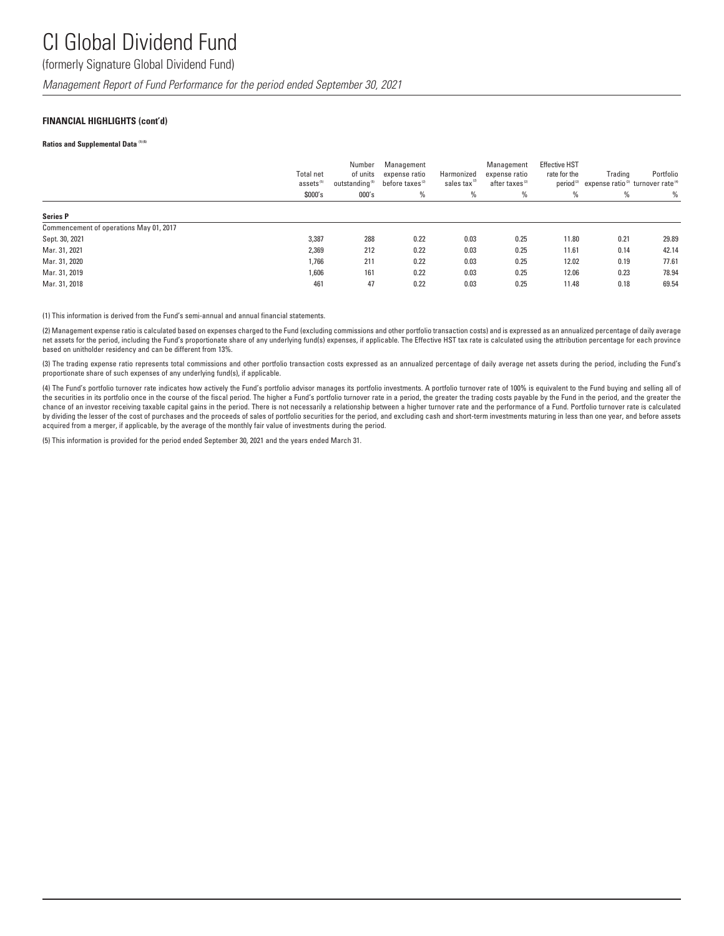### (formerly Signature Global Dividend Fund)

*Management Report of Fund Performance for the period ended September 30, 2021*

#### **FINANCIAL HIGHLIGHTS (cont'd)**

#### **Ratios and Supplemental Data (1) (5)**

|                                         | <b>Total net</b><br>assets <sup>(5)</sup><br>\$000's | Number<br>of units<br>outstanding <sup>(5)</sup><br>000's | Management<br>expense ratio<br>before taxes <sup>(2)</sup><br>% | Harmonized<br>sales tax<br>% | Management<br>expense ratio<br>after taxes <sup>(2)</sup><br>$\%$ | <b>Effective HST</b><br>rate for the<br>period <sup>(2)</sup><br>% | Trading<br>expense ratio <sup>(3)</sup> turnover rate <sup>(4)</sup><br>% | Portfolio<br>$\%$ |
|-----------------------------------------|------------------------------------------------------|-----------------------------------------------------------|-----------------------------------------------------------------|------------------------------|-------------------------------------------------------------------|--------------------------------------------------------------------|---------------------------------------------------------------------------|-------------------|
| <b>Series P</b>                         |                                                      |                                                           |                                                                 |                              |                                                                   |                                                                    |                                                                           |                   |
| Commencement of operations May 01, 2017 |                                                      |                                                           |                                                                 |                              |                                                                   |                                                                    |                                                                           |                   |
| Sept. 30, 2021                          | 3,387                                                | 288                                                       | 0.22                                                            | 0.03                         | 0.25                                                              | 11.80                                                              | 0.21                                                                      | 29.89             |
| Mar. 31, 2021                           | 2,369                                                | 212                                                       | 0.22                                                            | 0.03                         | 0.25                                                              | 11.61                                                              | 0.14                                                                      | 42.14             |
| Mar. 31, 2020                           | 1,766                                                | 211                                                       | 0.22                                                            | 0.03                         | 0.25                                                              | 12.02                                                              | 0.19                                                                      | 77.61             |
| Mar. 31, 2019                           | 1,606                                                | 161                                                       | 0.22                                                            | 0.03                         | 0.25                                                              | 12.06                                                              | 0.23                                                                      | 78.94             |
| Mar. 31, 2018                           | 461                                                  | 47                                                        | 0.22                                                            | 0.03                         | 0.25                                                              | 11.48                                                              | 0.18                                                                      | 69.54             |

(1) This information is derived from the Fund's semi-annual and annual financial statements.

(2) Management expense ratio is calculated based on expenses charged to the Fund (excluding commissions and other portfolio transaction costs) and is expressed as an annualized percentage of daily average net assets for the period, including the Fund's proportionate share of any underlying fund(s) expenses, if applicable. The Effective HST tax rate is calculated using the attribution percentage for each province based on unitholder residency and can be different from 13%.

(3) The trading expense ratio represents total commissions and other portfolio transaction costs expressed as an annualized percentage of daily average net assets during the period, including the Fund's proportionate share of such expenses of any underlying fund(s), if applicable.

(4) The Fund's portfolio turnover rate indicates how actively the Fund's portfolio advisor manages its portfolio investments. A portfolio turnover rate of 100% is equivalent to the Fund buying and selling all of the securities in its portfolio once in the course of the fiscal period. The higher a Fund's portfolio turnover rate in a period, the greater the trading costs payable by the Fund in the period, and the greater the greater chance of an investor receiving taxable capital gains in the period. There is not necessarily a relationship between a higher turnover rate and the performance of a Fund. Portfolio turnover rate is calculated by dividing the lesser of the cost of purchases and the proceeds of sales of portfolio securities for the period, and excluding cash and short-term investments maturing in less than one year, and before assets acquired from a merger, if applicable, by the average of the monthly fair value of investments during the period.

(5) This information is provided for the period ended September 30, 2021 and the years ended March 31.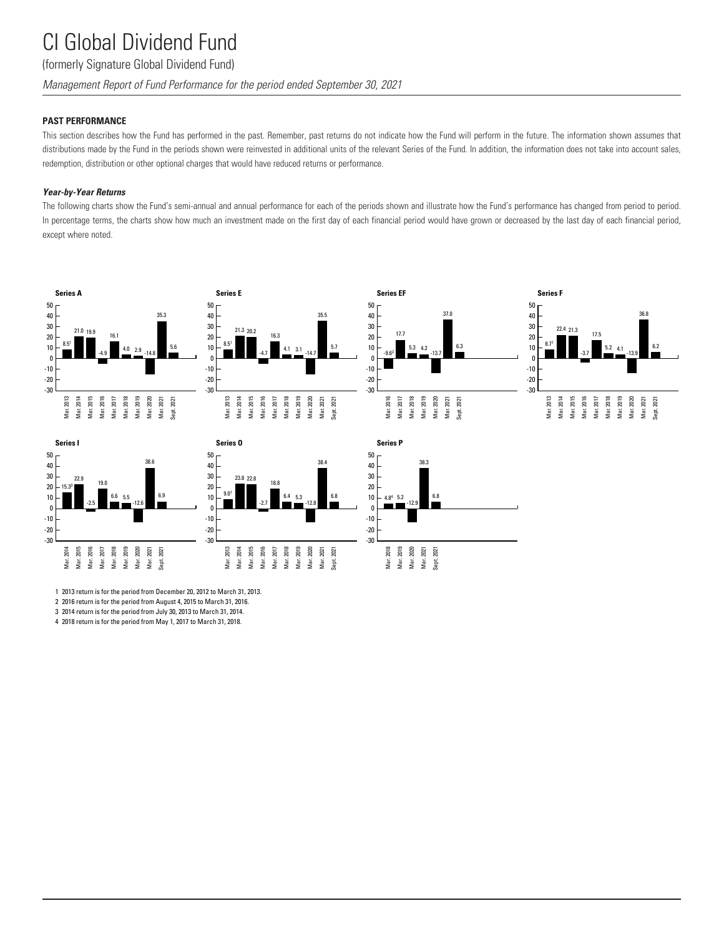### (formerly Signature Global Dividend Fund)

*Management Report of Fund Performance for the period ended September 30, 2021*

#### **PAST PERFORMANCE**

This section describes how the Fund has performed in the past. Remember, past returns do not indicate how the Fund will perform in the future. The information shown assumes that distributions made by the Fund in the periods shown were reinvested in additional units of the relevant Series of the Fund. In addition, the information does not take into account sales, redemption, distribution or other optional charges that would have reduced returns or performance.

#### *Year-by-Year Returns*

The following charts show the Fund's semi-annual and annual performance for each of the periods shown and illustrate how the Fund's performance has changed from period to period. In percentage terms, the charts show how much an investment made on the first day of each financial period would have grown or decreased by the last day of each financial period, except where noted.















1 2013 return is for the period from December 20, 2012 to March 31, 2013.

2 2016 return is for the period from August 4, 2015 to March 31, 2016.

3 2014 return is for the period from July 30, 2013 to March 31, 2014.

4 2018 return is for the period from May 1, 2017 to March 31, 2018.